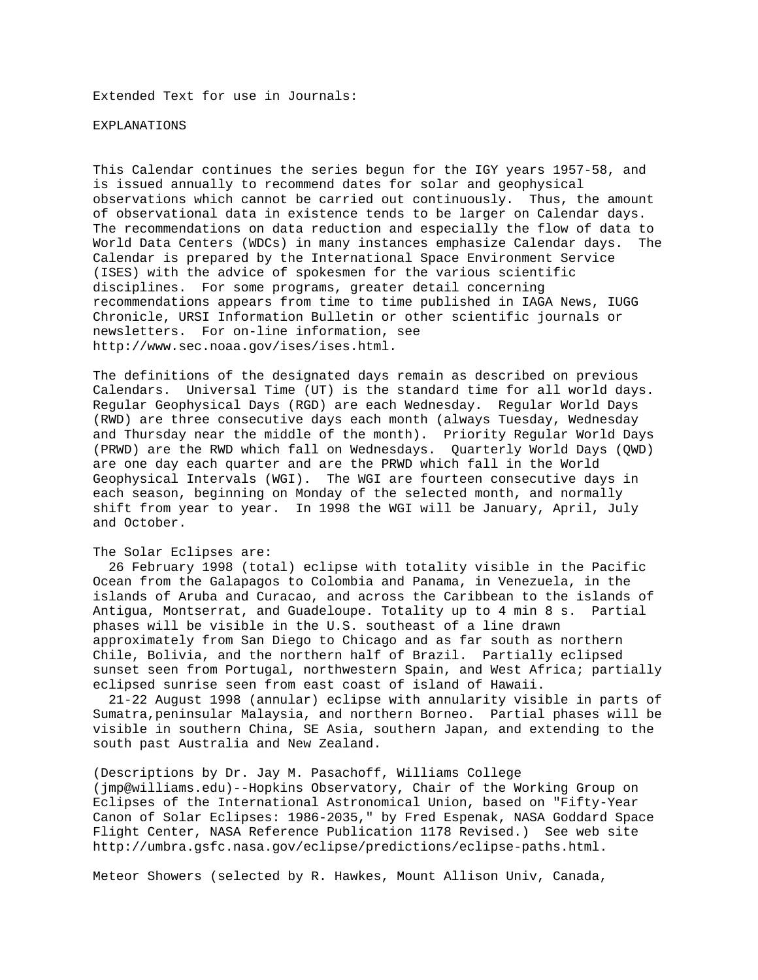Extended Text for use in Journals:

EXPLANATIONS

This Calendar continues the series begun for the IGY years 1957-58, and is issued annually to recommend dates for solar and geophysical observations which cannot be carried out continuously. Thus, the amount of observational data in existence tends to be larger on Calendar days. The recommendations on data reduction and especially the flow of data to World Data Centers (WDCs) in many instances emphasize Calendar days. The Calendar is prepared by the International Space Environment Service (ISES) with the advice of spokesmen for the various scientific disciplines. For some programs, greater detail concerning recommendations appears from time to time published in IAGA News, IUGG Chronicle, URSI Information Bulletin or other scientific journals or newsletters. For on-line information, see http://www.sec.noaa.gov/ises/ises.html.

The definitions of the designated days remain as described on previous Calendars. Universal Time (UT) is the standard time for all world days. Regular Geophysical Days (RGD) are each Wednesday. Regular World Days (RWD) are three consecutive days each month (always Tuesday, Wednesday and Thursday near the middle of the month). Priority Regular World Days (PRWD) are the RWD which fall on Wednesdays. Quarterly World Days (QWD) are one day each quarter and are the PRWD which fall in the World Geophysical Intervals (WGI). The WGI are fourteen consecutive days in each season, beginning on Monday of the selected month, and normally shift from year to year. In 1998 the WGI will be January, April, July and October.

## The Solar Eclipses are:

 26 February 1998 (total) eclipse with totality visible in the Pacific Ocean from the Galapagos to Colombia and Panama, in Venezuela, in the islands of Aruba and Curacao, and across the Caribbean to the islands of Antigua, Montserrat, and Guadeloupe. Totality up to 4 min 8 s. Partial phases will be visible in the U.S. southeast of a line drawn approximately from San Diego to Chicago and as far south as northern Chile, Bolivia, and the northern half of Brazil. Partially eclipsed sunset seen from Portugal, northwestern Spain, and West Africa; partially eclipsed sunrise seen from east coast of island of Hawaii.

 21-22 August 1998 (annular) eclipse with annularity visible in parts of Sumatra,peninsular Malaysia, and northern Borneo. Partial phases will be visible in southern China, SE Asia, southern Japan, and extending to the south past Australia and New Zealand.

(Descriptions by Dr. Jay M. Pasachoff, Williams College (jmp@williams.edu)--Hopkins Observatory, Chair of the Working Group on Eclipses of the International Astronomical Union, based on "Fifty-Year Canon of Solar Eclipses: 1986-2035," by Fred Espenak, NASA Goddard Space Flight Center, NASA Reference Publication 1178 Revised.) See web site http://umbra.gsfc.nasa.gov/eclipse/predictions/eclipse-paths.html.

Meteor Showers (selected by R. Hawkes, Mount Allison Univ, Canada,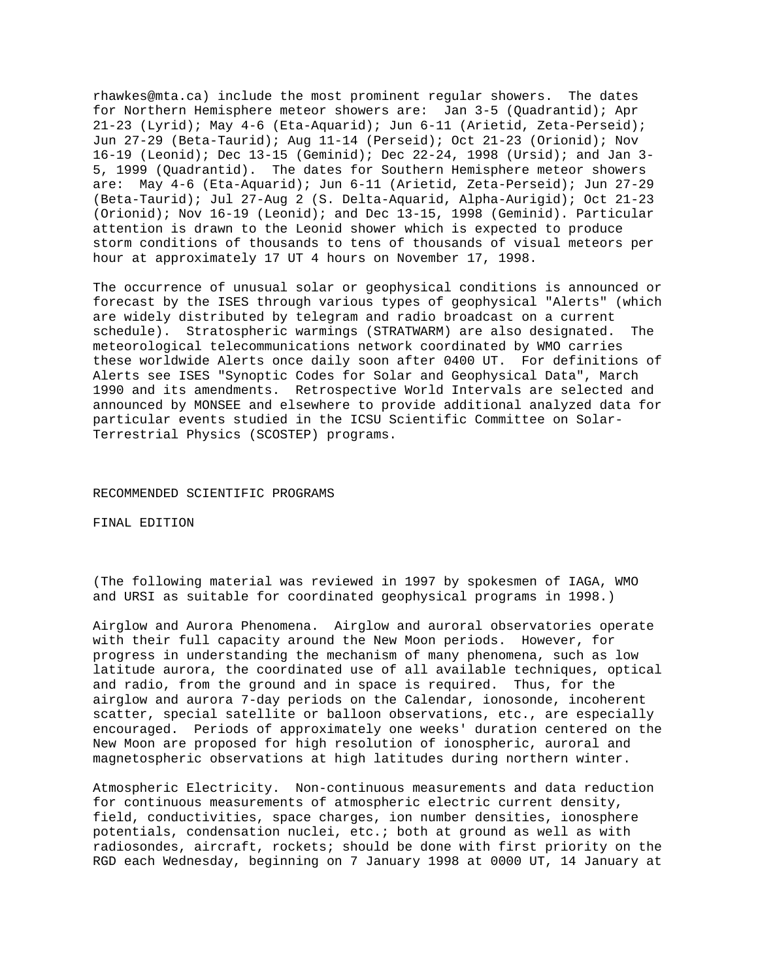rhawkes@mta.ca) include the most prominent regular showers. The dates for Northern Hemisphere meteor showers are: Jan 3-5 (Quadrantid); Apr 21-23 (Lyrid); May 4-6 (Eta-Aquarid); Jun 6-11 (Arietid, Zeta-Perseid); Jun 27-29 (Beta-Taurid); Aug 11-14 (Perseid); Oct 21-23 (Orionid); Nov 16-19 (Leonid); Dec 13-15 (Geminid); Dec 22-24, 1998 (Ursid); and Jan 3- 5, 1999 (Quadrantid). The dates for Southern Hemisphere meteor showers are: May 4-6 (Eta-Aquarid); Jun 6-11 (Arietid, Zeta-Perseid); Jun 27-29 (Beta-Taurid); Jul 27-Aug 2 (S. Delta-Aquarid, Alpha-Aurigid); Oct 21-23 (Orionid); Nov 16-19 (Leonid); and Dec 13-15, 1998 (Geminid). Particular attention is drawn to the Leonid shower which is expected to produce storm conditions of thousands to tens of thousands of visual meteors per hour at approximately 17 UT 4 hours on November 17, 1998.

The occurrence of unusual solar or geophysical conditions is announced or forecast by the ISES through various types of geophysical "Alerts" (which are widely distributed by telegram and radio broadcast on a current schedule). Stratospheric warmings (STRATWARM) are also designated. The meteorological telecommunications network coordinated by WMO carries these worldwide Alerts once daily soon after 0400 UT. For definitions of Alerts see ISES "Synoptic Codes for Solar and Geophysical Data", March 1990 and its amendments. Retrospective World Intervals are selected and announced by MONSEE and elsewhere to provide additional analyzed data for particular events studied in the ICSU Scientific Committee on Solar-Terrestrial Physics (SCOSTEP) programs.

## RECOMMENDED SCIENTIFIC PROGRAMS

FINAL EDITION

(The following material was reviewed in 1997 by spokesmen of IAGA, WMO and URSI as suitable for coordinated geophysical programs in 1998.)

Airglow and Aurora Phenomena. Airglow and auroral observatories operate with their full capacity around the New Moon periods. However, for progress in understanding the mechanism of many phenomena, such as low latitude aurora, the coordinated use of all available techniques, optical and radio, from the ground and in space is required. Thus, for the airglow and aurora 7-day periods on the Calendar, ionosonde, incoherent scatter, special satellite or balloon observations, etc., are especially encouraged. Periods of approximately one weeks' duration centered on the New Moon are proposed for high resolution of ionospheric, auroral and magnetospheric observations at high latitudes during northern winter.

Atmospheric Electricity. Non-continuous measurements and data reduction for continuous measurements of atmospheric electric current density, field, conductivities, space charges, ion number densities, ionosphere potentials, condensation nuclei, etc.; both at ground as well as with radiosondes, aircraft, rockets; should be done with first priority on the RGD each Wednesday, beginning on 7 January 1998 at 0000 UT, 14 January at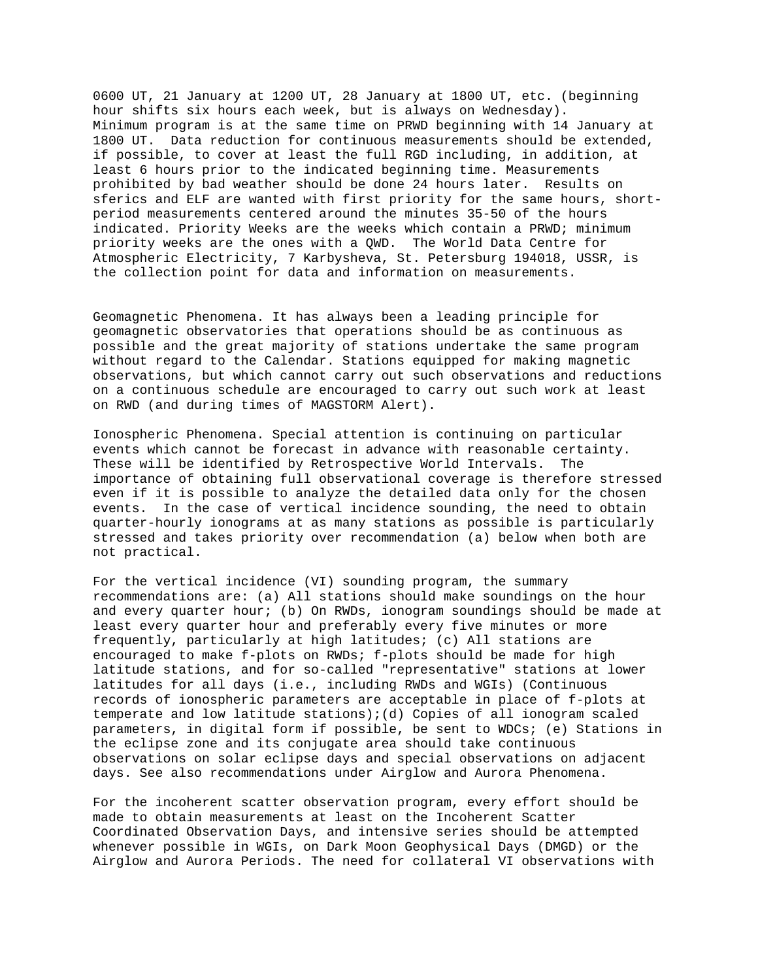0600 UT, 21 January at 1200 UT, 28 January at 1800 UT, etc. (beginning hour shifts six hours each week, but is always on Wednesday). Minimum program is at the same time on PRWD beginning with 14 January at 1800 UT. Data reduction for continuous measurements should be extended, if possible, to cover at least the full RGD including, in addition, at least 6 hours prior to the indicated beginning time. Measurements prohibited by bad weather should be done 24 hours later. Results on sferics and ELF are wanted with first priority for the same hours, shortperiod measurements centered around the minutes 35-50 of the hours indicated. Priority Weeks are the weeks which contain a PRWD; minimum priority weeks are the ones with a QWD. The World Data Centre for Atmospheric Electricity, 7 Karbysheva, St. Petersburg 194018, USSR, is the collection point for data and information on measurements.

Geomagnetic Phenomena. It has always been a leading principle for geomagnetic observatories that operations should be as continuous as possible and the great majority of stations undertake the same program without regard to the Calendar. Stations equipped for making magnetic observations, but which cannot carry out such observations and reductions on a continuous schedule are encouraged to carry out such work at least on RWD (and during times of MAGSTORM Alert).

Ionospheric Phenomena. Special attention is continuing on particular events which cannot be forecast in advance with reasonable certainty. These will be identified by Retrospective World Intervals. The importance of obtaining full observational coverage is therefore stressed even if it is possible to analyze the detailed data only for the chosen events. In the case of vertical incidence sounding, the need to obtain quarter-hourly ionograms at as many stations as possible is particularly stressed and takes priority over recommendation (a) below when both are not practical.

For the vertical incidence (VI) sounding program, the summary recommendations are: (a) All stations should make soundings on the hour and every quarter hour; (b) On RWDs, ionogram soundings should be made at least every quarter hour and preferably every five minutes or more frequently, particularly at high latitudes; (c) All stations are encouraged to make f-plots on RWDs; f-plots should be made for high latitude stations, and for so-called "representative" stations at lower latitudes for all days (i.e., including RWDs and WGIs) (Continuous records of ionospheric parameters are acceptable in place of f-plots at temperate and low latitude stations); (d) Copies of all ionogram scaled parameters, in digital form if possible, be sent to WDCs; (e) Stations in the eclipse zone and its conjugate area should take continuous observations on solar eclipse days and special observations on adjacent days. See also recommendations under Airglow and Aurora Phenomena.

For the incoherent scatter observation program, every effort should be made to obtain measurements at least on the Incoherent Scatter Coordinated Observation Days, and intensive series should be attempted whenever possible in WGIs, on Dark Moon Geophysical Days (DMGD) or the Airglow and Aurora Periods. The need for collateral VI observations with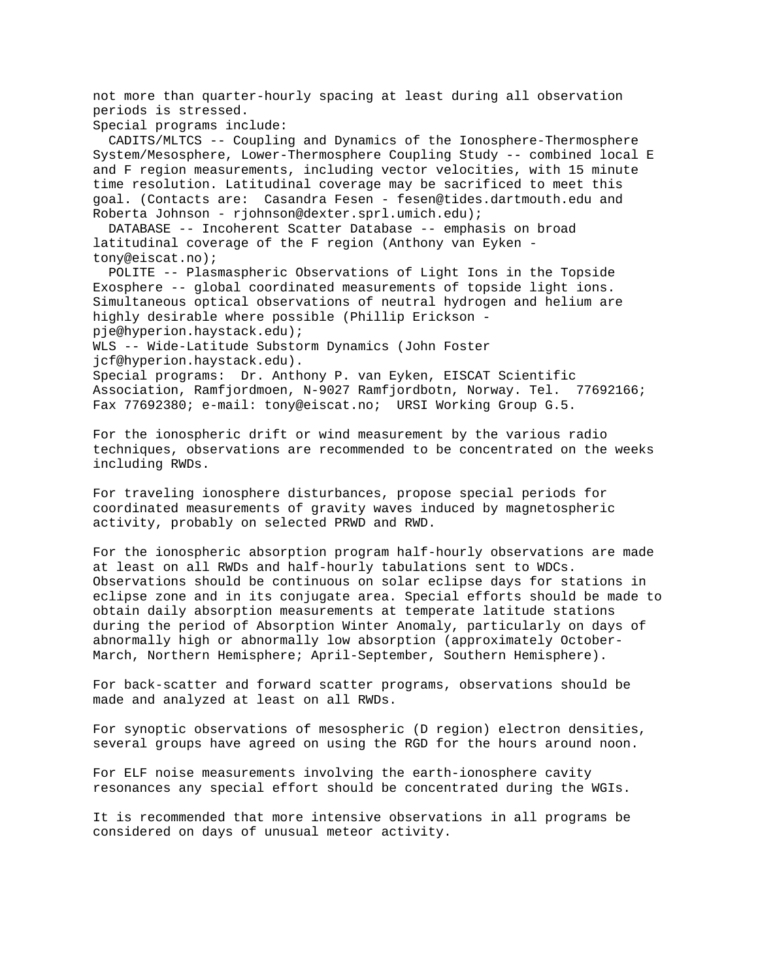not more than quarter-hourly spacing at least during all observation periods is stressed.

Special programs include:

 CADITS/MLTCS -- Coupling and Dynamics of the Ionosphere-Thermosphere System/Mesosphere, Lower-Thermosphere Coupling Study -- combined local E and F region measurements, including vector velocities, with 15 minute time resolution. Latitudinal coverage may be sacrificed to meet this goal. (Contacts are: Casandra Fesen - fesen@tides.dartmouth.edu and Roberta Johnson - rjohnson@dexter.sprl.umich.edu);

 DATABASE -- Incoherent Scatter Database -- emphasis on broad latitudinal coverage of the F region (Anthony van Eyken tony@eiscat.no);

 POLITE -- Plasmaspheric Observations of Light Ions in the Topside Exosphere -- global coordinated measurements of topside light ions. Simultaneous optical observations of neutral hydrogen and helium are highly desirable where possible (Phillip Erickson pje@hyperion.haystack.edu);

WLS -- Wide-Latitude Substorm Dynamics (John Foster jcf@hyperion.haystack.edu).

Special programs: Dr. Anthony P. van Eyken, EISCAT Scientific Association, Ramfjordmoen, N-9027 Ramfjordbotn, Norway. Tel. 77692166; Fax 77692380; e-mail: tony@eiscat.no; URSI Working Group G.5.

For the ionospheric drift or wind measurement by the various radio techniques, observations are recommended to be concentrated on the weeks including RWDs.

For traveling ionosphere disturbances, propose special periods for coordinated measurements of gravity waves induced by magnetospheric activity, probably on selected PRWD and RWD.

For the ionospheric absorption program half-hourly observations are made at least on all RWDs and half-hourly tabulations sent to WDCs. Observations should be continuous on solar eclipse days for stations in eclipse zone and in its conjugate area. Special efforts should be made to obtain daily absorption measurements at temperate latitude stations during the period of Absorption Winter Anomaly, particularly on days of abnormally high or abnormally low absorption (approximately October-March, Northern Hemisphere; April-September, Southern Hemisphere).

For back-scatter and forward scatter programs, observations should be made and analyzed at least on all RWDs.

For synoptic observations of mesospheric (D region) electron densities, several groups have agreed on using the RGD for the hours around noon.

For ELF noise measurements involving the earth-ionosphere cavity resonances any special effort should be concentrated during the WGIs.

It is recommended that more intensive observations in all programs be considered on days of unusual meteor activity.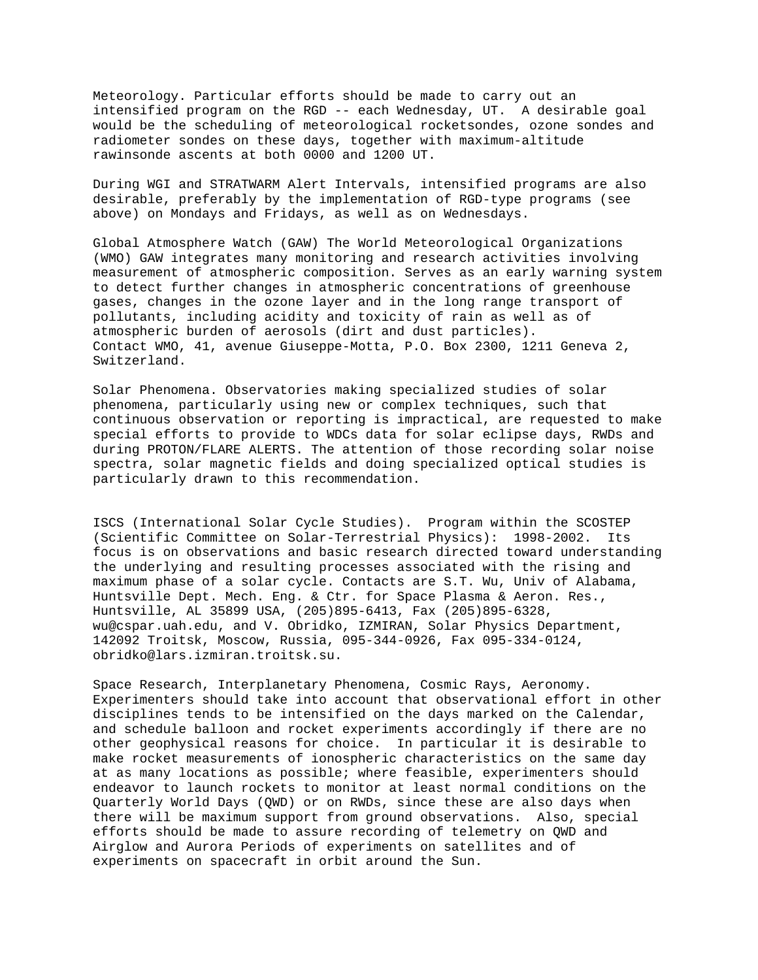Meteorology. Particular efforts should be made to carry out an intensified program on the RGD -- each Wednesday, UT. A desirable goal would be the scheduling of meteorological rocketsondes, ozone sondes and radiometer sondes on these days, together with maximum-altitude rawinsonde ascents at both 0000 and 1200 UT.

During WGI and STRATWARM Alert Intervals, intensified programs are also desirable, preferably by the implementation of RGD-type programs (see above) on Mondays and Fridays, as well as on Wednesdays.

Global Atmosphere Watch (GAW) The World Meteorological Organizations (WMO) GAW integrates many monitoring and research activities involving measurement of atmospheric composition. Serves as an early warning system to detect further changes in atmospheric concentrations of greenhouse gases, changes in the ozone layer and in the long range transport of pollutants, including acidity and toxicity of rain as well as of atmospheric burden of aerosols (dirt and dust particles). Contact WMO, 41, avenue Giuseppe-Motta, P.O. Box 2300, 1211 Geneva 2, Switzerland.

Solar Phenomena. Observatories making specialized studies of solar phenomena, particularly using new or complex techniques, such that continuous observation or reporting is impractical, are requested to make special efforts to provide to WDCs data for solar eclipse days, RWDs and during PROTON/FLARE ALERTS. The attention of those recording solar noise spectra, solar magnetic fields and doing specialized optical studies is particularly drawn to this recommendation.

ISCS (International Solar Cycle Studies). Program within the SCOSTEP (Scientific Committee on Solar-Terrestrial Physics): 1998-2002. Its focus is on observations and basic research directed toward understanding the underlying and resulting processes associated with the rising and maximum phase of a solar cycle. Contacts are S.T. Wu, Univ of Alabama, Huntsville Dept. Mech. Eng. & Ctr. for Space Plasma & Aeron. Res., Huntsville, AL 35899 USA, (205)895-6413, Fax (205)895-6328, wu@cspar.uah.edu, and V. Obridko, IZMIRAN, Solar Physics Department, 142092 Troitsk, Moscow, Russia, 095-344-0926, Fax 095-334-0124, obridko@lars.izmiran.troitsk.su.

Space Research, Interplanetary Phenomena, Cosmic Rays, Aeronomy. Experimenters should take into account that observational effort in other disciplines tends to be intensified on the days marked on the Calendar, and schedule balloon and rocket experiments accordingly if there are no other geophysical reasons for choice. In particular it is desirable to make rocket measurements of ionospheric characteristics on the same day at as many locations as possible; where feasible, experimenters should endeavor to launch rockets to monitor at least normal conditions on the Quarterly World Days (QWD) or on RWDs, since these are also days when there will be maximum support from ground observations. Also, special efforts should be made to assure recording of telemetry on QWD and Airglow and Aurora Periods of experiments on satellites and of experiments on spacecraft in orbit around the Sun.